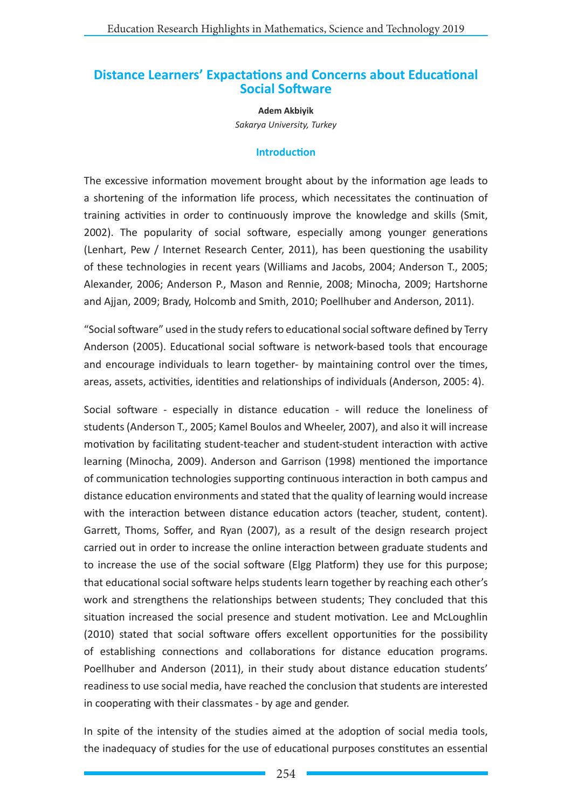# **Distance Learners' Expactations and Concerns about Educational Social Software**

**Adem Akbiyik** *Sakarya University, Turkey*

#### **Introduction**

The excessive information movement brought about by the information age leads to a shortening of the information life process, which necessitates the continuation of training activities in order to continuously improve the knowledge and skills (Smit, 2002). The popularity of social software, especially among younger generations (Lenhart, Pew / Internet Research Center, 2011), has been questioning the usability of these technologies in recent years (Williams and Jacobs, 2004; Anderson T., 2005; Alexander, 2006; Anderson P., Mason and Rennie, 2008; Minocha, 2009; Hartshorne and Ajjan, 2009; Brady, Holcomb and Smith, 2010; Poellhuber and Anderson, 2011).

"Social software" used in the study refers to educational social software defined by Terry Anderson (2005). Educational social software is network-based tools that encourage and encourage individuals to learn together- by maintaining control over the times, areas, assets, activities, identities and relationships of individuals (Anderson, 2005: 4).

Social software - especially in distance education - will reduce the loneliness of students (Anderson T., 2005; Kamel Boulos and Wheeler, 2007), and also it will increase motivation by facilitating student-teacher and student-student interaction with active learning (Minocha, 2009). Anderson and Garrison (1998) mentioned the importance of communication technologies supporting continuous interaction in both campus and distance education environments and stated that the quality of learning would increase with the interaction between distance education actors (teacher, student, content). Garrett, Thoms, Soffer, and Ryan (2007), as a result of the design research project carried out in order to increase the online interaction between graduate students and to increase the use of the social software (Elgg Platform) they use for this purpose; that educational social software helps students learn together by reaching each other's work and strengthens the relationships between students; They concluded that this situation increased the social presence and student motivation. Lee and McLoughlin (2010) stated that social software offers excellent opportunities for the possibility of establishing connections and collaborations for distance education programs. Poellhuber and Anderson (2011), in their study about distance education students' readiness to use social media, have reached the conclusion that students are interested in cooperating with their classmates - by age and gender.

In spite of the intensity of the studies aimed at the adoption of social media tools, the inadequacy of studies for the use of educational purposes constitutes an essential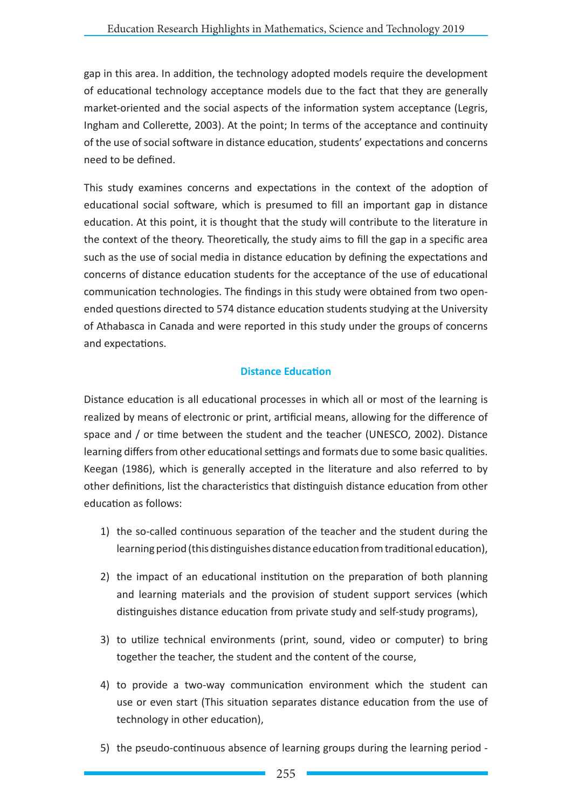gap in this area. In addition, the technology adopted models require the development of educational technology acceptance models due to the fact that they are generally market-oriented and the social aspects of the information system acceptance (Legris, Ingham and Collerette, 2003). At the point; In terms of the acceptance and continuity of the use of social software in distance education, students' expectations and concerns need to be defined.

This study examines concerns and expectations in the context of the adoption of educational social software, which is presumed to fill an important gap in distance education. At this point, it is thought that the study will contribute to the literature in the context of the theory. Theoretically, the study aims to fill the gap in a specific area such as the use of social media in distance education by defining the expectations and concerns of distance education students for the acceptance of the use of educational communication technologies. The findings in this study were obtained from two openended questions directed to 574 distance education students studying at the University of Athabasca in Canada and were reported in this study under the groups of concerns and expectations.

## **Distance Education**

Distance education is all educational processes in which all or most of the learning is realized by means of electronic or print, artificial means, allowing for the difference of space and / or time between the student and the teacher (UNESCO, 2002). Distance learning differs from other educational settings and formats due to some basic qualities. Keegan (1986), which is generally accepted in the literature and also referred to by other definitions, list the characteristics that distinguish distance education from other education as follows:

- 1) the so-called continuous separation of the teacher and the student during the learning period (this distinguishes distance education from traditional education),
- 2) the impact of an educational institution on the preparation of both planning and learning materials and the provision of student support services (which distinguishes distance education from private study and self-study programs),
- 3) to utilize technical environments (print, sound, video or computer) to bring together the teacher, the student and the content of the course,
- 4) to provide a two-way communication environment which the student can use or even start (This situation separates distance education from the use of technology in other education),
- 5) the pseudo-continuous absence of learning groups during the learning period -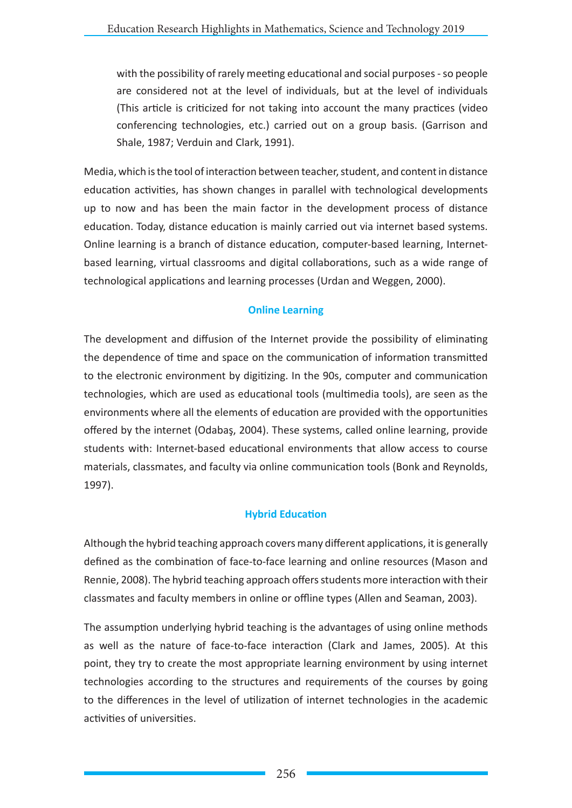with the possibility of rarely meeting educational and social purposes - so people are considered not at the level of individuals, but at the level of individuals (This article is criticized for not taking into account the many practices (video conferencing technologies, etc.) carried out on a group basis. (Garrison and Shale, 1987; Verduin and Clark, 1991).

Media, which is the tool of interaction between teacher, student, and content in distance education activities, has shown changes in parallel with technological developments up to now and has been the main factor in the development process of distance education. Today, distance education is mainly carried out via internet based systems. Online learning is a branch of distance education, computer-based learning, Internetbased learning, virtual classrooms and digital collaborations, such as a wide range of technological applications and learning processes (Urdan and Weggen, 2000).

# **Online Learning**

The development and diffusion of the Internet provide the possibility of eliminating the dependence of time and space on the communication of information transmitted to the electronic environment by digitizing. In the 90s, computer and communication technologies, which are used as educational tools (multimedia tools), are seen as the environments where all the elements of education are provided with the opportunities offered by the internet (Odabaş, 2004). These systems, called online learning, provide students with: Internet-based educational environments that allow access to course materials, classmates, and faculty via online communication tools (Bonk and Reynolds, 1997).

## **Hybrid Education**

Although the hybrid teaching approach covers many different applications, it is generally defined as the combination of face-to-face learning and online resources (Mason and Rennie, 2008). The hybrid teaching approach offers students more interaction with their classmates and faculty members in online or offline types (Allen and Seaman, 2003).

The assumption underlying hybrid teaching is the advantages of using online methods as well as the nature of face-to-face interaction (Clark and James, 2005). At this point, they try to create the most appropriate learning environment by using internet technologies according to the structures and requirements of the courses by going to the differences in the level of utilization of internet technologies in the academic activities of universities.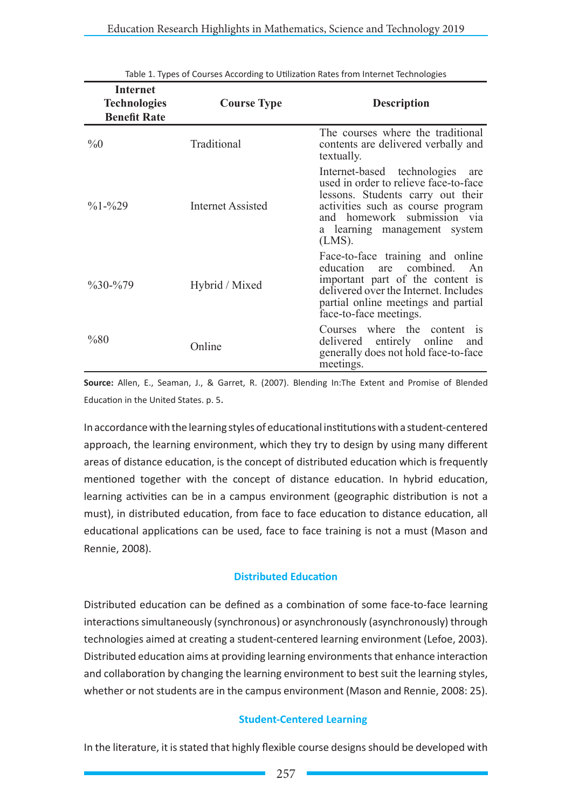| Internet<br><b>Technologies</b><br><b>Benefit Rate</b> | <b>Course Type</b> | <b>Description</b>                                                                                                                                                                                                                |
|--------------------------------------------------------|--------------------|-----------------------------------------------------------------------------------------------------------------------------------------------------------------------------------------------------------------------------------|
| $\%0$                                                  | Traditional        | The courses where the traditional<br>contents are delivered verbally and<br>textually.                                                                                                                                            |
| $\frac{9}{6}$ 1- $\frac{9}{6}$ 29                      | Internet Assisted  | Internet-based technologies<br>are<br>used in order to relieve face-to-face<br>lessons. Students carry out their<br>activities such as course program<br>and homework submission via<br>a learning management system<br>$(LMS)$ . |
| $\frac{9}{6}30 - \frac{9}{6}79$                        | Hybrid / Mixed     | Face-to-face training and online<br>education are combined. An<br>important part of the content is<br>delivered over the Internet. Includes<br>partial online meetings and partial<br>face-to-face meetings.                      |
| %80                                                    | Online             | Courses where the content is<br>delivered entirely online<br>and<br>generally does not hold face-to-face<br>meetings.                                                                                                             |

Table 1. Types of Courses According to Utilization Rates from Internet Technologies

**Source:** Allen, E., Seaman, J., & Garret, R. (2007). Blending In:The Extent and Promise of Blended Education in the United States. p. 5.

In accordance with the learning styles of educational institutions with a student-centered approach, the learning environment, which they try to design by using many different areas of distance education, is the concept of distributed education which is frequently mentioned together with the concept of distance education. In hybrid education, learning activities can be in a campus environment (geographic distribution is not a must), in distributed education, from face to face education to distance education, all educational applications can be used, face to face training is not a must (Mason and Rennie, 2008).

#### **Distributed Education**

Distributed education can be defined as a combination of some face-to-face learning interactions simultaneously (synchronous) or asynchronously (asynchronously) through technologies aimed at creating a student-centered learning environment (Lefoe, 2003). Distributed education aims at providing learning environments that enhance interaction and collaboration by changing the learning environment to best suit the learning styles, whether or not students are in the campus environment (Mason and Rennie, 2008: 25).

#### **Student-Centered Learning**

In the literature, it is stated that highly flexible course designs should be developed with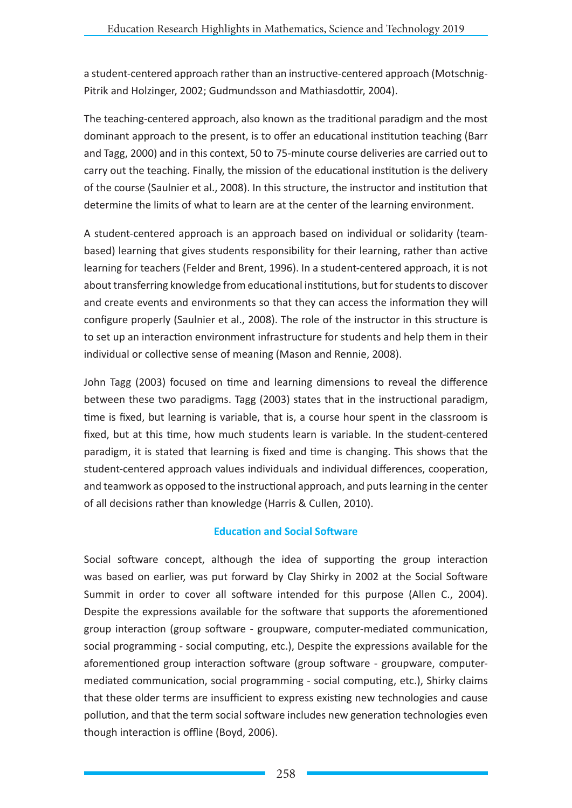a student-centered approach rather than an instructive-centered approach (Motschnig-Pitrik and Holzinger, 2002; Gudmundsson and Mathiasdottir, 2004).

The teaching-centered approach, also known as the traditional paradigm and the most dominant approach to the present, is to offer an educational institution teaching (Barr and Tagg, 2000) and in this context, 50 to 75-minute course deliveries are carried out to carry out the teaching. Finally, the mission of the educational institution is the delivery of the course (Saulnier et al., 2008). In this structure, the instructor and institution that determine the limits of what to learn are at the center of the learning environment.

A student-centered approach is an approach based on individual or solidarity (teambased) learning that gives students responsibility for their learning, rather than active learning for teachers (Felder and Brent, 1996). In a student-centered approach, it is not about transferring knowledge from educational institutions, but for students to discover and create events and environments so that they can access the information they will configure properly (Saulnier et al., 2008). The role of the instructor in this structure is to set up an interaction environment infrastructure for students and help them in their individual or collective sense of meaning (Mason and Rennie, 2008).

John Tagg (2003) focused on time and learning dimensions to reveal the difference between these two paradigms. Tagg (2003) states that in the instructional paradigm, time is fixed, but learning is variable, that is, a course hour spent in the classroom is fixed, but at this time, how much students learn is variable. In the student-centered paradigm, it is stated that learning is fixed and time is changing. This shows that the student-centered approach values individuals and individual differences, cooperation, and teamwork as opposed to the instructional approach, and puts learning in the center of all decisions rather than knowledge (Harris & Cullen, 2010).

## **Education and Social Software**

Social software concept, although the idea of supporting the group interaction was based on earlier, was put forward by Clay Shirky in 2002 at the Social Software Summit in order to cover all software intended for this purpose (Allen C., 2004). Despite the expressions available for the software that supports the aforementioned group interaction (group software - groupware, computer-mediated communication, social programming - social computing, etc.), Despite the expressions available for the aforementioned group interaction software (group software - groupware, computermediated communication, social programming - social computing, etc.), Shirky claims that these older terms are insufficient to express existing new technologies and cause pollution, and that the term social software includes new generation technologies even though interaction is offline (Boyd, 2006).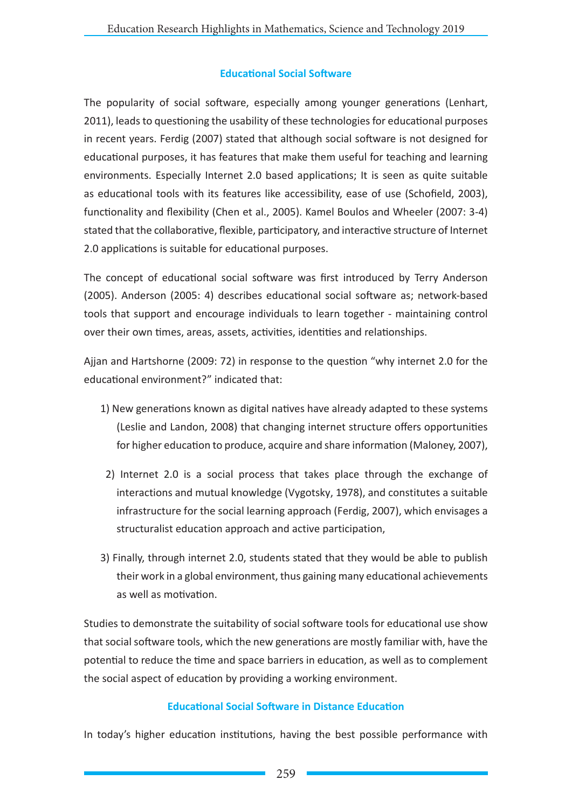### **Educational Social Software**

The popularity of social software, especially among younger generations (Lenhart, 2011), leads to questioning the usability of these technologies for educational purposes in recent years. Ferdig (2007) stated that although social software is not designed for educational purposes, it has features that make them useful for teaching and learning environments. Especially Internet 2.0 based applications; It is seen as quite suitable as educational tools with its features like accessibility, ease of use (Schofield, 2003), functionality and flexibility (Chen et al., 2005). Kamel Boulos and Wheeler (2007: 3-4) stated that the collaborative, flexible, participatory, and interactive structure of Internet 2.0 applications is suitable for educational purposes.

The concept of educational social software was first introduced by Terry Anderson (2005). Anderson (2005: 4) describes educational social software as; network-based tools that support and encourage individuals to learn together - maintaining control over their own times, areas, assets, activities, identities and relationships.

Ajjan and Hartshorne (2009: 72) in response to the question "why internet 2.0 for the educational environment?" indicated that:

- 1) New generations known as digital natives have already adapted to these systems (Leslie and Landon, 2008) that changing internet structure offers opportunities for higher education to produce, acquire and share information (Maloney, 2007),
- 2) Internet 2.0 is a social process that takes place through the exchange of interactions and mutual knowledge (Vygotsky, 1978), and constitutes a suitable infrastructure for the social learning approach (Ferdig, 2007), which envisages a structuralist education approach and active participation,
- 3) Finally, through internet 2.0, students stated that they would be able to publish their work in a global environment, thus gaining many educational achievements as well as motivation.

Studies to demonstrate the suitability of social software tools for educational use show that social software tools, which the new generations are mostly familiar with, have the potential to reduce the time and space barriers in education, as well as to complement the social aspect of education by providing a working environment.

#### **Educational Social Software in Distance Education**

In today's higher education institutions, having the best possible performance with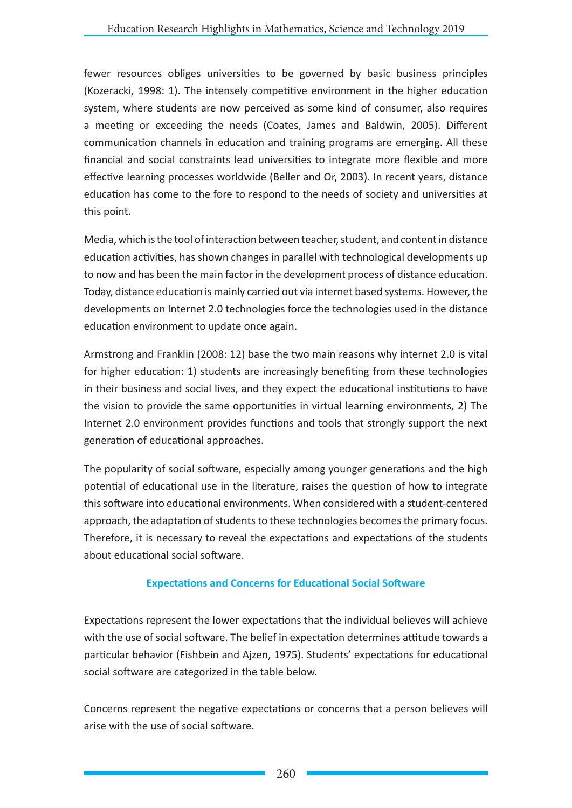fewer resources obliges universities to be governed by basic business principles (Kozeracki, 1998: 1). The intensely competitive environment in the higher education system, where students are now perceived as some kind of consumer, also requires a meeting or exceeding the needs (Coates, James and Baldwin, 2005). Different communication channels in education and training programs are emerging. All these financial and social constraints lead universities to integrate more flexible and more effective learning processes worldwide (Beller and Or, 2003). In recent years, distance education has come to the fore to respond to the needs of society and universities at this point.

Media, which is the tool of interaction between teacher, student, and content in distance education activities, has shown changes in parallel with technological developments up to now and has been the main factor in the development process of distance education. Today, distance education is mainly carried out via internet based systems. However, the developments on Internet 2.0 technologies force the technologies used in the distance education environment to update once again.

Armstrong and Franklin (2008: 12) base the two main reasons why internet 2.0 is vital for higher education: 1) students are increasingly benefiting from these technologies in their business and social lives, and they expect the educational institutions to have the vision to provide the same opportunities in virtual learning environments, 2) The Internet 2.0 environment provides functions and tools that strongly support the next generation of educational approaches.

The popularity of social software, especially among younger generations and the high potential of educational use in the literature, raises the question of how to integrate this software into educational environments. When considered with a student-centered approach, the adaptation of students to these technologies becomes the primary focus. Therefore, it is necessary to reveal the expectations and expectations of the students about educational social software.

# **Expectations and Concerns for Educational Social Software**

Expectations represent the lower expectations that the individual believes will achieve with the use of social software. The belief in expectation determines attitude towards a particular behavior (Fishbein and Ajzen, 1975). Students' expectations for educational social software are categorized in the table below.

Concerns represent the negative expectations or concerns that a person believes will arise with the use of social software.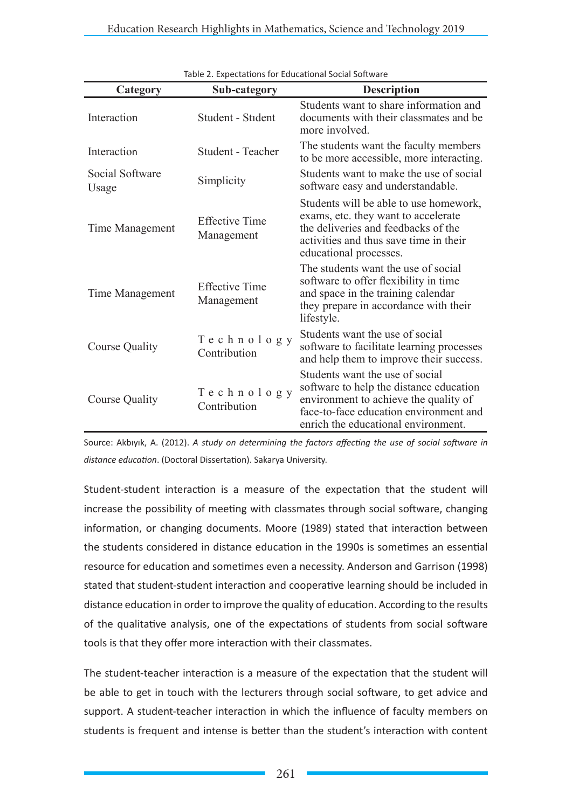| Category                 | rapic 2. Expectations for Educational Social Software<br>Sub-category | <b>Description</b>                                                                                                                                                                                   |
|--------------------------|-----------------------------------------------------------------------|------------------------------------------------------------------------------------------------------------------------------------------------------------------------------------------------------|
|                          |                                                                       |                                                                                                                                                                                                      |
| Interaction              | Student - Stident                                                     | Students want to share information and<br>documents with their classmates and be<br>more involved.                                                                                                   |
| Interaction              | <b>Student - Teacher</b>                                              | The students want the faculty members<br>to be more accessible, more interacting.                                                                                                                    |
| Social Software<br>Usage | Simplicity                                                            | Students want to make the use of social<br>software easy and understandable.                                                                                                                         |
| Time Management          | <b>Effective Time</b><br>Management                                   | Students will be able to use homework,<br>exams, etc. they want to accelerate<br>the deliveries and feedbacks of the<br>activities and thus save time in their<br>educational processes.             |
| Time Management          | <b>Effective Time</b><br>Management                                   | The students want the use of social<br>software to offer flexibility in time<br>and space in the training calendar<br>they prepare in accordance with their<br>lifestyle.                            |
| Course Quality           | Technology<br>Contribution                                            | Students want the use of social<br>software to facilitate learning processes<br>and help them to improve their success.                                                                              |
| <b>Course Quality</b>    | Technology<br>Contribution                                            | Students want the use of social<br>software to help the distance education<br>environment to achieve the quality of<br>face-to-face education environment and<br>enrich the educational environment. |

Table 2. Expectations for Educational Social Software

Source: Akbıyık, A. (2012). *A study on determining the factors affecting the use of social software in distance education*. (Doctoral Dissertation). Sakarya University.

Student-student interaction is a measure of the expectation that the student will increase the possibility of meeting with classmates through social software, changing information, or changing documents. Moore (1989) stated that interaction between the students considered in distance education in the 1990s is sometimes an essential resource for education and sometimes even a necessity. Anderson and Garrison (1998) stated that student-student interaction and cooperative learning should be included in distance education in order to improve the quality of education. According to the results of the qualitative analysis, one of the expectations of students from social software tools is that they offer more interaction with their classmates.

The student-teacher interaction is a measure of the expectation that the student will be able to get in touch with the lecturers through social software, to get advice and support. A student-teacher interaction in which the influence of faculty members on students is frequent and intense is better than the student's interaction with content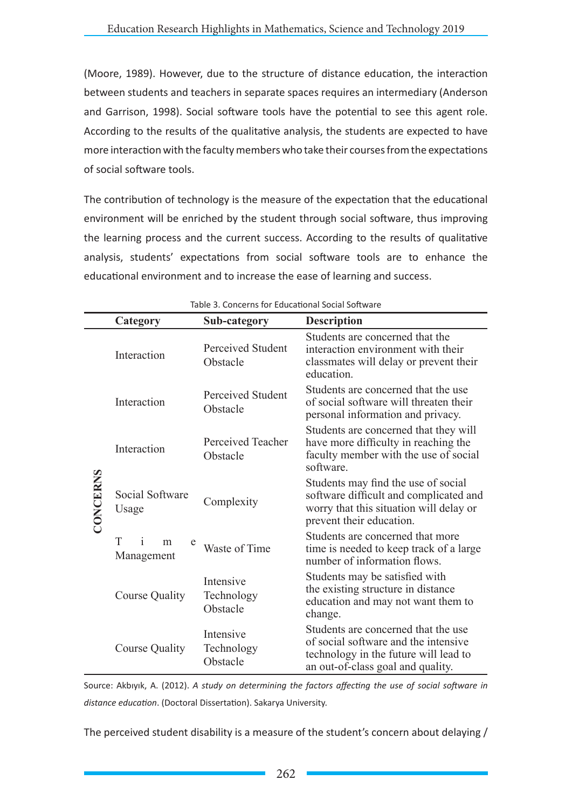(Moore, 1989). However, due to the structure of distance education, the interaction between students and teachers in separate spaces requires an intermediary (Anderson and Garrison, 1998). Social software tools have the potential to see this agent role. According to the results of the qualitative analysis, the students are expected to have more interaction with the faculty members who take their courses from the expectations of social software tools.

The contribution of technology is the measure of the expectation that the educational environment will be enriched by the student through social software, thus improving the learning process and the current success. According to the results of qualitative analysis, students' expectations from social software tools are to enhance the educational environment and to increase the ease of learning and success.

|                 | Category                                  | Sub-category                        | <b>Description</b>                                                                                                                                        |
|-----------------|-------------------------------------------|-------------------------------------|-----------------------------------------------------------------------------------------------------------------------------------------------------------|
| <b>CONCERNS</b> | Interaction                               | Perceived Student<br>Obstacle       | Students are concerned that the<br>interaction environment with their<br>classmates will delay or prevent their<br>education.                             |
|                 | Interaction                               | Perceived Student<br>Obstacle       | Students are concerned that the use<br>of social software will threaten their<br>personal information and privacy.                                        |
|                 | Interaction                               | Perceived Teacher<br>Obstacle       | Students are concerned that they will<br>have more difficulty in reaching the<br>faculty member with the use of social<br>software.                       |
|                 | Social Software<br>Usage                  | Complexity                          | Students may find the use of social<br>software difficult and complicated and<br>worry that this situation will delay or<br>prevent their education.      |
|                 | T<br>$\mathbf{1}$<br>m<br>e<br>Management | Waste of Time                       | Students are concerned that more<br>time is needed to keep track of a large<br>number of information flows.                                               |
|                 | Course Quality                            | Intensive<br>Technology<br>Obstacle | Students may be satisfied with<br>the existing structure in distance<br>education and may not want them to<br>change.                                     |
|                 | <b>Course Quality</b>                     | Intensive<br>Technology<br>Obstacle | Students are concerned that the use<br>of social software and the intensive<br>technology in the future will lead to<br>an out-of-class goal and quality. |

Table 3. Concerns for Educational Social Software

Source: Akbıyık, A. (2012). *A study on determining the factors affecting the use of social software in distance education*. (Doctoral Dissertation). Sakarya University.

The perceived student disability is a measure of the student's concern about delaying /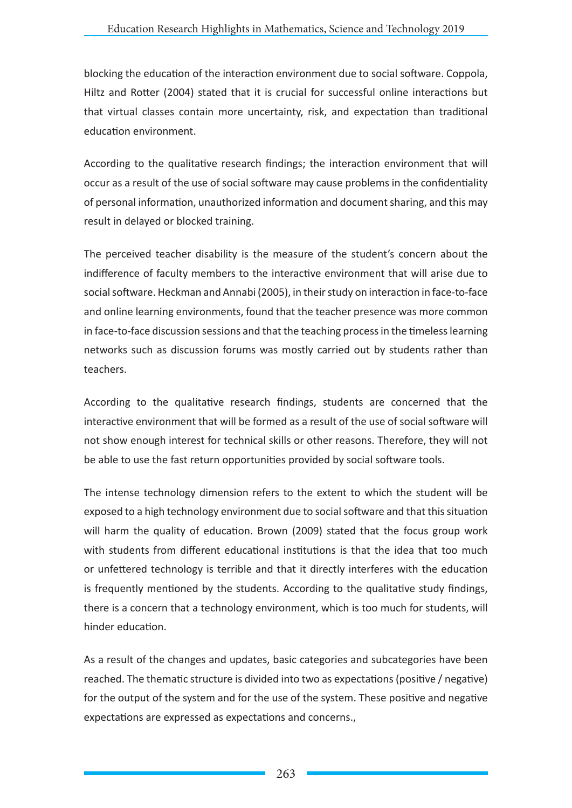blocking the education of the interaction environment due to social software. Coppola, Hiltz and Rotter (2004) stated that it is crucial for successful online interactions but that virtual classes contain more uncertainty, risk, and expectation than traditional education environment.

According to the qualitative research findings; the interaction environment that will occur as a result of the use of social software may cause problems in the confidentiality of personal information, unauthorized information and document sharing, and this may result in delayed or blocked training.

The perceived teacher disability is the measure of the student's concern about the indifference of faculty members to the interactive environment that will arise due to social software. Heckman and Annabi (2005), in their study on interaction in face-to-face and online learning environments, found that the teacher presence was more common in face-to-face discussion sessions and that the teaching process in the timeless learning networks such as discussion forums was mostly carried out by students rather than teachers.

According to the qualitative research findings, students are concerned that the interactive environment that will be formed as a result of the use of social software will not show enough interest for technical skills or other reasons. Therefore, they will not be able to use the fast return opportunities provided by social software tools.

The intense technology dimension refers to the extent to which the student will be exposed to a high technology environment due to social software and that this situation will harm the quality of education. Brown (2009) stated that the focus group work with students from different educational institutions is that the idea that too much or unfettered technology is terrible and that it directly interferes with the education is frequently mentioned by the students. According to the qualitative study findings, there is a concern that a technology environment, which is too much for students, will hinder education.

As a result of the changes and updates, basic categories and subcategories have been reached. The thematic structure is divided into two as expectations (positive / negative) for the output of the system and for the use of the system. These positive and negative expectations are expressed as expectations and concerns.,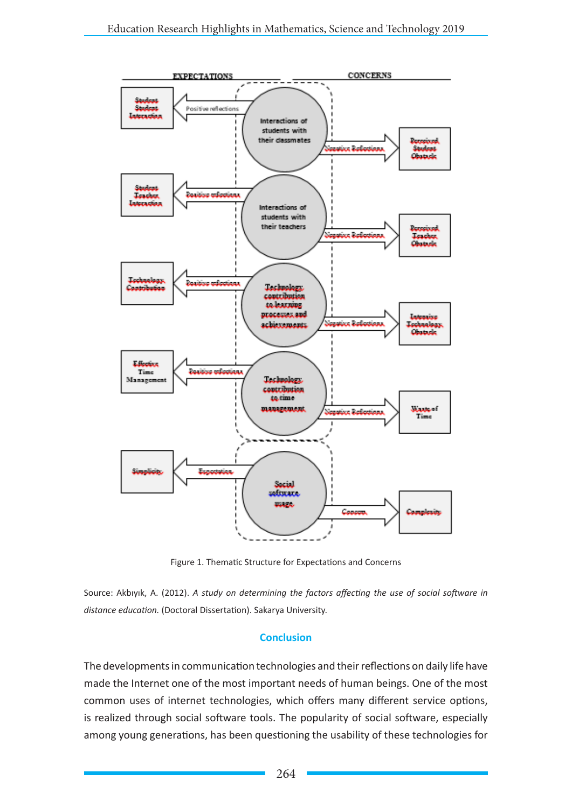

Figure 1. Thematic Structure for Expectations and Concerns

Source: Akbıyık, A. (2012). *A study on determining the factors affecting the use of social software in distance education.* (Doctoral Dissertation). Sakarya University.

#### **Conclusion**

The developments in communication technologies and their reflections on daily life have made the Internet one of the most important needs of human beings. One of the most common uses of internet technologies, which offers many different service options, is realized through social software tools. The popularity of social software, especially among young generations, has been questioning the usability of these technologies for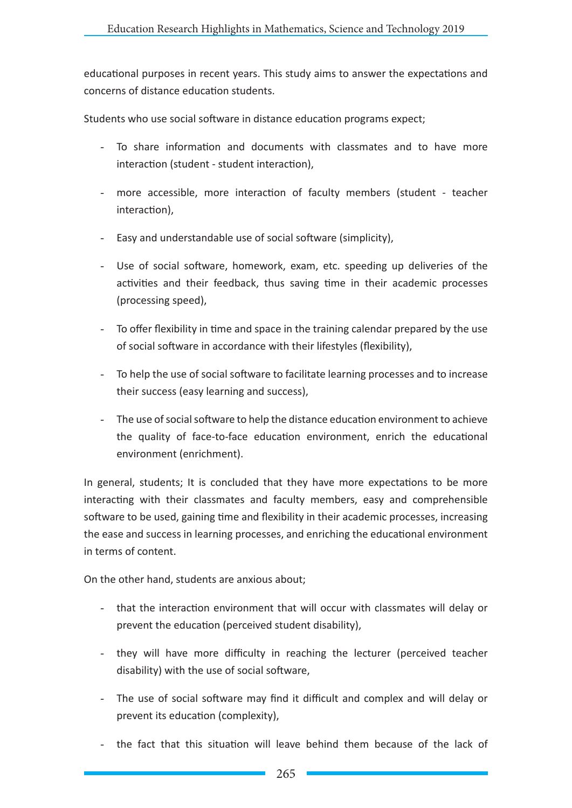educational purposes in recent years. This study aims to answer the expectations and concerns of distance education students.

Students who use social software in distance education programs expect;

- To share information and documents with classmates and to have more interaction (student - student interaction),
- more accessible, more interaction of faculty members (student teacher interaction),
- Easy and understandable use of social software (simplicity),
- Use of social software, homework, exam, etc. speeding up deliveries of the activities and their feedback, thus saving time in their academic processes (processing speed),
- To offer flexibility in time and space in the training calendar prepared by the use of social software in accordance with their lifestyles (flexibility),
- To help the use of social software to facilitate learning processes and to increase their success (easy learning and success),
- The use of social software to help the distance education environment to achieve the quality of face-to-face education environment, enrich the educational environment (enrichment).

In general, students; It is concluded that they have more expectations to be more interacting with their classmates and faculty members, easy and comprehensible software to be used, gaining time and flexibility in their academic processes, increasing the ease and success in learning processes, and enriching the educational environment in terms of content.

On the other hand, students are anxious about;

- that the interaction environment that will occur with classmates will delay or prevent the education (perceived student disability),
- they will have more difficulty in reaching the lecturer (perceived teacher disability) with the use of social software,
- The use of social software may find it difficult and complex and will delay or prevent its education (complexity),
- the fact that this situation will leave behind them because of the lack of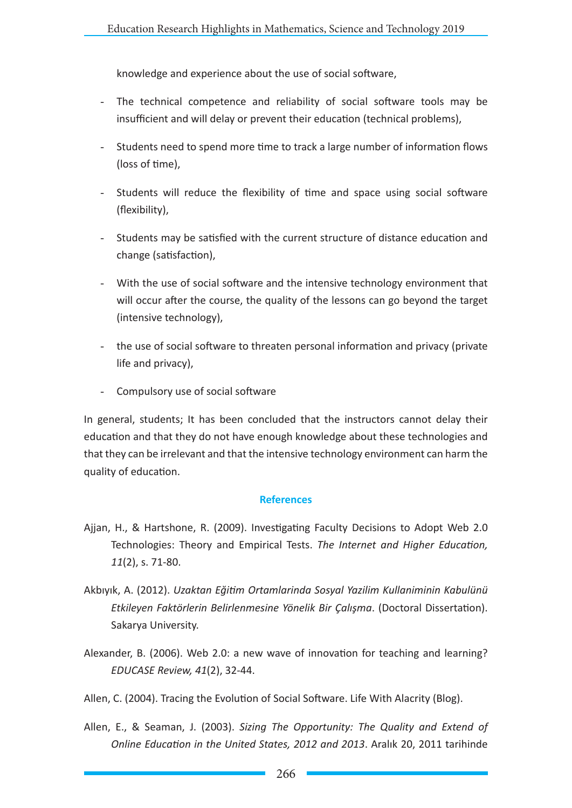knowledge and experience about the use of social software,

- The technical competence and reliability of social software tools may be insufficient and will delay or prevent their education (technical problems),
- Students need to spend more time to track a large number of information flows (loss of time),
- Students will reduce the flexibility of time and space using social software (flexibility),
- Students may be satisfied with the current structure of distance education and change (satisfaction),
- With the use of social software and the intensive technology environment that will occur after the course, the quality of the lessons can go beyond the target (intensive technology),
- the use of social software to threaten personal information and privacy (private life and privacy),
- Compulsory use of social software

In general, students; It has been concluded that the instructors cannot delay their education and that they do not have enough knowledge about these technologies and that they can be irrelevant and that the intensive technology environment can harm the quality of education.

#### **References**

- Ajjan, H., & Hartshone, R. (2009). Investigating Faculty Decisions to Adopt Web 2.0 Technologies: Theory and Empirical Tests. *The Internet and Higher Education, 11*(2), s. 71-80.
- Akbıyık, A. (2012). *Uzaktan Eğitim Ortamlarinda Sosyal Yazilim Kullaniminin Kabulünü Etkileyen Faktörlerin Belirlenmesine Yönelik Bir Çalışma*. (Doctoral Dissertation). Sakarya University.
- Alexander, B. (2006). Web 2.0: a new wave of innovation for teaching and learning? *EDUCASE Review, 41*(2), 32-44.

Allen, C. (2004). Tracing the Evolution of Social Software. Life With Alacrity (Blog).

Allen, E., & Seaman, J. (2003). *Sizing The Opportunity: The Quality and Extend of Online Education in the United States, 2012 and 2013*. Aralık 20, 2011 tarihinde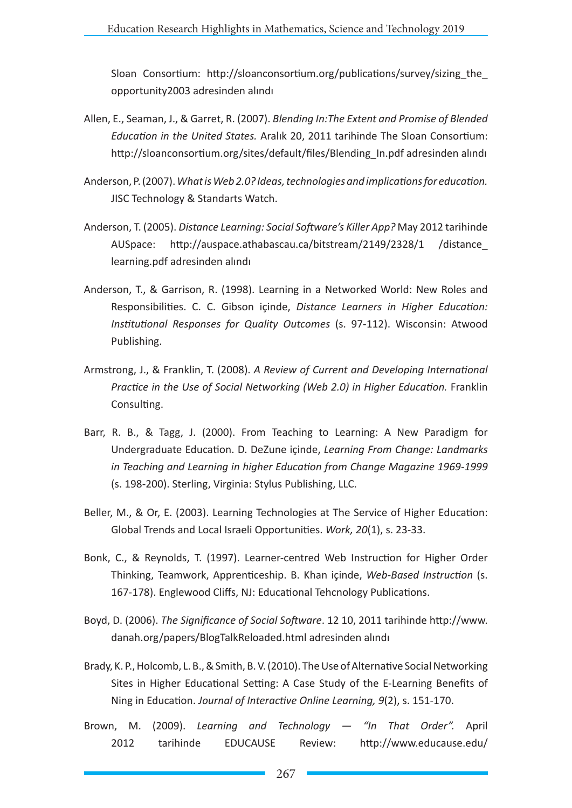Sloan Consortium: http://sloanconsortium.org/publications/survey/sizing the opportunity2003 adresinden alındı

- Allen, E., Seaman, J., & Garret, R. (2007). *Blending In:The Extent and Promise of Blended Education in the United States.* Aralık 20, 2011 tarihinde The Sloan Consortium: http://sloanconsortium.org/sites/default/files/Blending\_In.pdf adresinden alındı
- Anderson, P. (2007). *What is Web 2.0? Ideas, technologies and implications for education.* JISC Technology & Standarts Watch.
- Anderson, T. (2005). *Distance Learning: Social Software's Killer App?* May 2012 tarihinde AUSpace: http://auspace.athabascau.ca/bitstream/2149/2328/1 /distance\_ learning.pdf adresinden alındı
- Anderson, T., & Garrison, R. (1998). Learning in a Networked World: New Roles and Responsibilities. C. C. Gibson içinde, *Distance Learners in Higher Education: Institutional Responses for Quality Outcomes* (s. 97-112). Wisconsin: Atwood Publishing.
- Armstrong, J., & Franklin, T. (2008). *A Review of Current and Developing International Practice in the Use of Social Networking (Web 2.0) in Higher Education.* Franklin Consulting.
- Barr, R. B., & Tagg, J. (2000). From Teaching to Learning: A New Paradigm for Undergraduate Education. D. DeZune içinde, *Learning From Change: Landmarks in Teaching and Learning in higher Education from Change Magazine 1969-1999* (s. 198-200). Sterling, Virginia: Stylus Publishing, LLC.
- Beller, M., & Or, E. (2003). Learning Technologies at The Service of Higher Education: Global Trends and Local Israeli Opportunities. *Work, 20*(1), s. 23-33.
- Bonk, C., & Reynolds, T. (1997). Learner-centred Web Instruction for Higher Order Thinking, Teamwork, Apprenticeship. B. Khan içinde, *Web-Based Instruction* (s. 167-178). Englewood Cliffs, NJ: Educational Tehcnology Publications.
- Boyd, D. (2006). *The Significance of Social Software*. 12 10, 2011 tarihinde http://www. danah.org/papers/BlogTalkReloaded.html adresinden alındı
- Brady, K. P., Holcomb, L. B., & Smith, B. V. (2010). The Use of Alternative Social Networking Sites in Higher Educational Setting: A Case Study of the E-Learning Benefits of Ning in Education. *Journal of Interactive Online Learning, 9*(2), s. 151-170.
- Brown, M. (2009). *Learning and Technology "In That Order".* April 2012 tarihinde EDUCAUSE Review: http://www.educause.edu/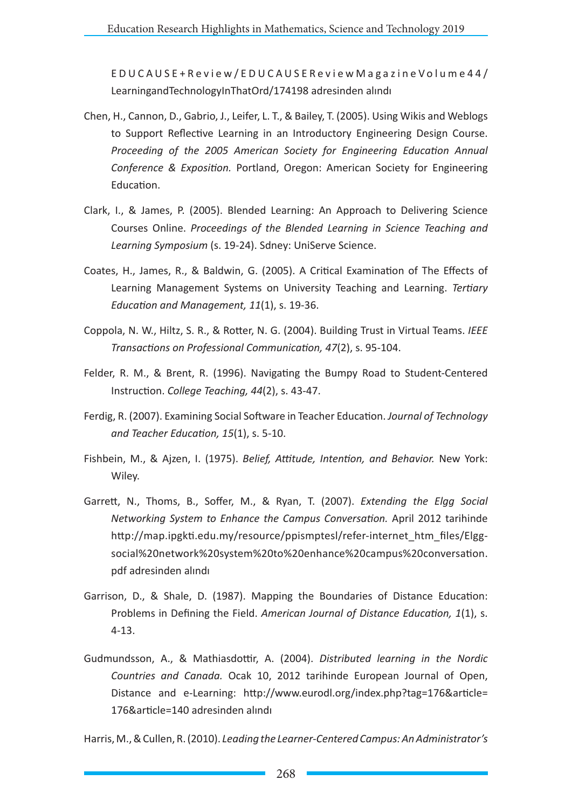EDUCAUSE+Review/EDUCAUSEReviewMagazineVolume44/ LearningandTechnologyInThatOrd/174198 adresinden alındı

- Chen, H., Cannon, D., Gabrio, J., Leifer, L. T., & Bailey, T. (2005). Using Wikis and Weblogs to Support Reflective Learning in an Introductory Engineering Design Course. *Proceeding of the 2005 American Society for Engineering Education Annual Conference & Exposition.* Portland, Oregon: American Society for Engineering Education.
- Clark, I., & James, P. (2005). Blended Learning: An Approach to Delivering Science Courses Online. *Proceedings of the Blended Learning in Science Teaching and Learning Symposium* (s. 19-24). Sdney: UniServe Science.
- Coates, H., James, R., & Baldwin, G. (2005). A Critical Examination of The Effects of Learning Management Systems on University Teaching and Learning. *Tertiary Education and Management, 11*(1), s. 19-36.
- Coppola, N. W., Hiltz, S. R., & Rotter, N. G. (2004). Building Trust in Virtual Teams. *IEEE Transactions on Professional Communication, 47*(2), s. 95-104.
- Felder, R. M., & Brent, R. (1996). Navigating the Bumpy Road to Student-Centered Instruction. *College Teaching, 44*(2), s. 43-47.
- Ferdig, R. (2007). Examining Social Software in Teacher Education. *Journal of Technology and Teacher Education, 15*(1), s. 5-10.
- Fishbein, M., & Ajzen, I. (1975). *Belief, Attitude, Intention, and Behavior.* New York: Wiley.
- Garrett, N., Thoms, B., Soffer, M., & Ryan, T. (2007). *Extending the Elgg Social Networking System to Enhance the Campus Conversation.* April 2012 tarihinde http://map.ipgkti.edu.my/resource/ppismptesl/refer-internet\_htm\_files/Elggsocial%20network%20system%20to%20enhance%20campus%20conversation. pdf adresinden alındı
- Garrison, D., & Shale, D. (1987). Mapping the Boundaries of Distance Education: Problems in Defining the Field. *American Journal of Distance Education, 1*(1), s. 4-13.
- Gudmundsson, A., & Mathiasdottir, A. (2004). *Distributed learning in the Nordic Countries and Canada.* Ocak 10, 2012 tarihinde European Journal of Open, Distance and e-Learning: http://www.eurodl.org/index.php?tag=176&article= 176&article=140 adresinden alındı

Harris, M., & Cullen, R. (2010). *Leading the Learner-Centered Campus: An Administrator's*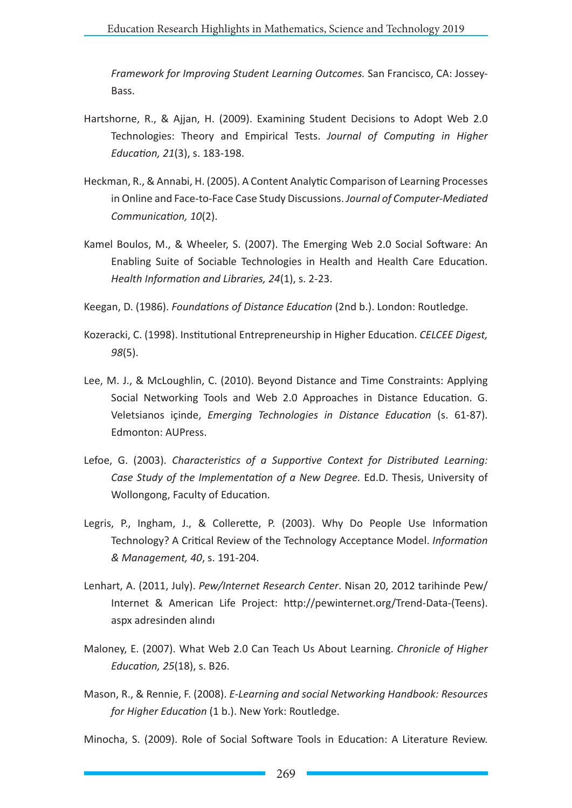*Framework for Improving Student Learning Outcomes.* San Francisco, CA: Jossey-Bass.

- Hartshorne, R., & Ajjan, H. (2009). Examining Student Decisions to Adopt Web 2.0 Technologies: Theory and Empirical Tests. *Journal of Computing in Higher Education, 21*(3), s. 183-198.
- Heckman, R., & Annabi, H. (2005). A Content Analytic Comparison of Learning Processes in Online and Face-to-Face Case Study Discussions. *Journal of Computer-Mediated Communication, 10*(2).
- Kamel Boulos, M., & Wheeler, S. (2007). The Emerging Web 2.0 Social Software: An Enabling Suite of Sociable Technologies in Health and Health Care Education. *Health Information and Libraries, 24*(1), s. 2-23.
- Keegan, D. (1986). *Foundations of Distance Education* (2nd b.). London: Routledge.
- Kozeracki, C. (1998). Institutional Entrepreneurship in Higher Education. *CELCEE Digest, 98*(5).
- Lee, M. J., & McLoughlin, C. (2010). Beyond Distance and Time Constraints: Applying Social Networking Tools and Web 2.0 Approaches in Distance Education. G. Veletsianos içinde, *Emerging Technologies in Distance Education* (s. 61-87). Edmonton: AUPress.
- Lefoe, G. (2003). *Characteristics of a Supportive Context for Distributed Learning: Case Study of the Implementation of a New Degree.* Ed.D. Thesis, University of Wollongong, Faculty of Education.
- Legris, P., Ingham, J., & Collerette, P. (2003). Why Do People Use Information Technology? A Critical Review of the Technology Acceptance Model. *Information & Management, 40*, s. 191-204.
- Lenhart, A. (2011, July). *Pew/Internet Research Center*. Nisan 20, 2012 tarihinde Pew/ Internet & American Life Project: http://pewinternet.org/Trend-Data-(Teens). aspx adresinden alındı
- Maloney, E. (2007). What Web 2.0 Can Teach Us About Learning. *Chronicle of Higher Education, 25*(18), s. B26.
- Mason, R., & Rennie, F. (2008). *E-Learning and social Networking Handbook: Resources for Higher Education* (1 b.). New York: Routledge.

Minocha, S. (2009). Role of Social Software Tools in Education: A Literature Review.